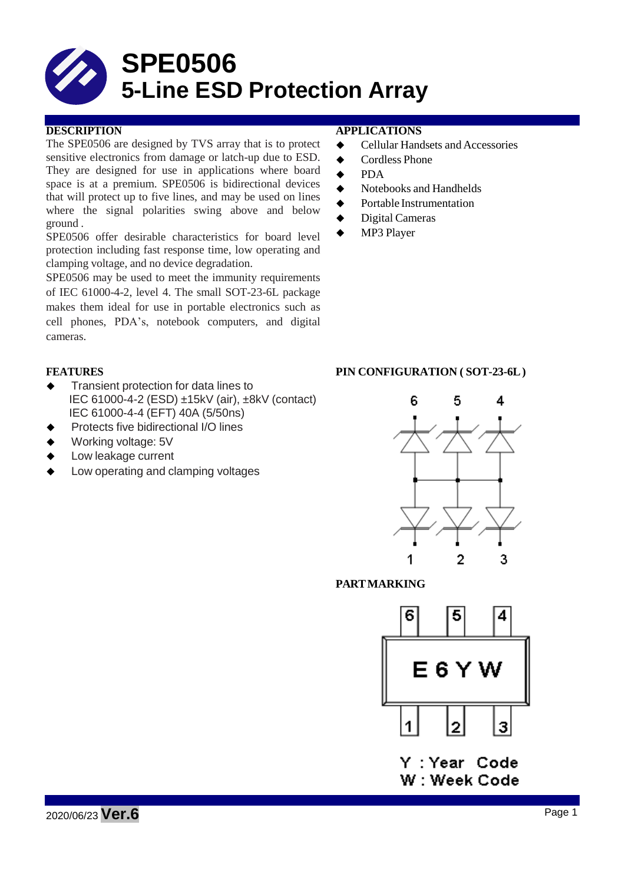# **SPE0506 5-Line ESD Protection Array**

The SPE0506 are designed by TVS array that is to protect sensitive electronics from damage or latch-up due to ESD. They are designed for use in applications where board space is at a premium. SPE0506 is bidirectional devices that will protect up to five lines, and may be used on lines where the signal polarities swing above and below ground .

SPE0506 offer desirable characteristics for board level protection including fast response time, low operating and clamping voltage, and no device degradation.

SPE0506 may be used to meet the immunity requirements of IEC 61000-4-2, level 4. The small SOT-23-6L package makes them ideal for use in portable electronics such as cell phones, PDA's, notebook computers, and digital cameras.

### **DESCRIPTION APPLICATIONS**

- ◆ Cellular Handsets and Accessories
- ◆ Cordless Phone
- **←** PDA
- $\blacklozenge$  Notebooks and Handhelds
- Portable Instrumentation
- ◆ Digital Cameras
- ◆ MP3 Player

- Transient protection for data lines to IEC 61000-4-2 (ESD) ±15kV (air), ±8kV (contact) IEC 61000-4-4 (EFT) 40A (5/50ns)
- Protects five bidirectional I/O lines
- Working voltage: 5V
- Low leakage current
- Low operating and clamping voltages

### **FEATURES PIN CONFIGURATION ( SOT-23-6L)**



**PARTMARKING**



Y:Year Code W: Week Code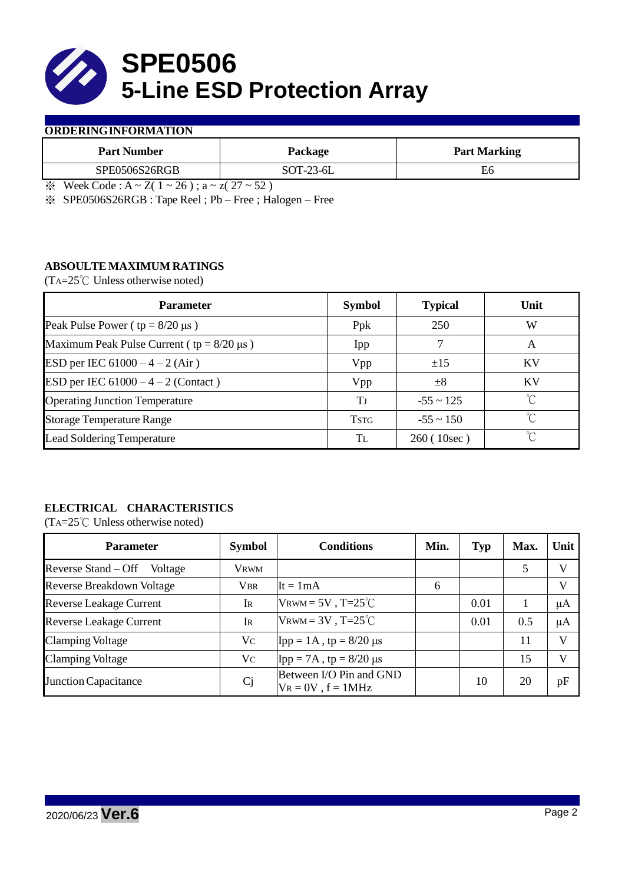

#### **ORDERINGINFORMATION**

| <b>Part Number</b>   | Package                      | <b>Part Marking</b> |  |  |
|----------------------|------------------------------|---------------------|--|--|
| <b>SPE0506S26RGB</b> | $SOT-23-6L$                  | ЕC                  |  |  |
| $\mathbf{v}$         | $ -$<br>$\sim$ $\sim$ $\sim$ |                     |  |  |

 $\& \text{Week Code : A} \sim Z(1 \sim 26); a \sim z(27 \sim 52)$ 

※ SPE0506S26RGB : Tape Reel ; Pb – Free ; Halogen – Free

### **ABSOULTE MAXIMUM RATINGS**

(TA=25℃ Unless otherwise noted)

| <b>Parameter</b>                                 | <b>Symbol</b> | <b>Typical</b> | Unit      |
|--------------------------------------------------|---------------|----------------|-----------|
| Peak Pulse Power ( $tp = 8/20 \mu s$ )           | Ppk           | 250            | W         |
| Maximum Peak Pulse Current ( $tp = 8/20 \mu s$ ) | Ipp           |                | A         |
| ESD per IEC $61000 - 4 - 2$ (Air)                | Vpp           | ±15            | <b>KV</b> |
| ESD per IEC $61000 - 4 - 2$ (Contact)            | Vpp           | $\pm 8$        | <b>KV</b> |
| <b>Operating Junction Temperature</b>            | Tj            | $-55 \sim 125$ | ℃         |
| <b>Storage Temperature Range</b>                 | <b>TSTG</b>   | $-55 \sim 150$ | °C        |
| <b>Lead Soldering Temperature</b>                | Tъ            | 260(10sec)     | $\gamma$  |

## **ELECTRICAL CHARACTERISTICS**

(TA=25℃ Unless otherwise noted)

| <b>Parameter</b>                 | <b>Symbol</b> | <b>Conditions</b>                                  | Min. | <b>Typ</b> | Max. | Unit    |
|----------------------------------|---------------|----------------------------------------------------|------|------------|------|---------|
| Reverse Stand – Off<br>Voltage   | <b>VRWM</b>   |                                                    |      |            | 5    | V       |
| <b>Reverse Breakdown Voltage</b> | <b>VBR</b>    | $It = 1mA$                                         | 6    |            |      | V       |
| <b>Reverse Leakage Current</b>   | Ir            | $V_{\text{RWM}} = 5V$ , T=25 <sup>°</sup> C        |      | 0.01       |      | $\mu A$ |
| <b>Reverse Leakage Current</b>   | IR            | VRWM = $3V$ , T= $25^{\circ}$ C                    |      | 0.01       | 0.5  | $\mu A$ |
| <b>Clamping Voltage</b>          | Vc            | $\text{Ipp} = 1 \text{A}$ , tp = 8/20 µs           |      |            | 11   | V       |
| <b>Clamping Voltage</b>          | Vc            | $\text{Ipp} = 7\text{A}$ , tp = 8/20 µs            |      |            | 15   | V       |
| <b>Junction Capacitance</b>      | <b>Cj</b>     | Between I/O Pin and GND<br>$V_R = 0V$ , $f = 1MHz$ |      | 10         | 20   | pF      |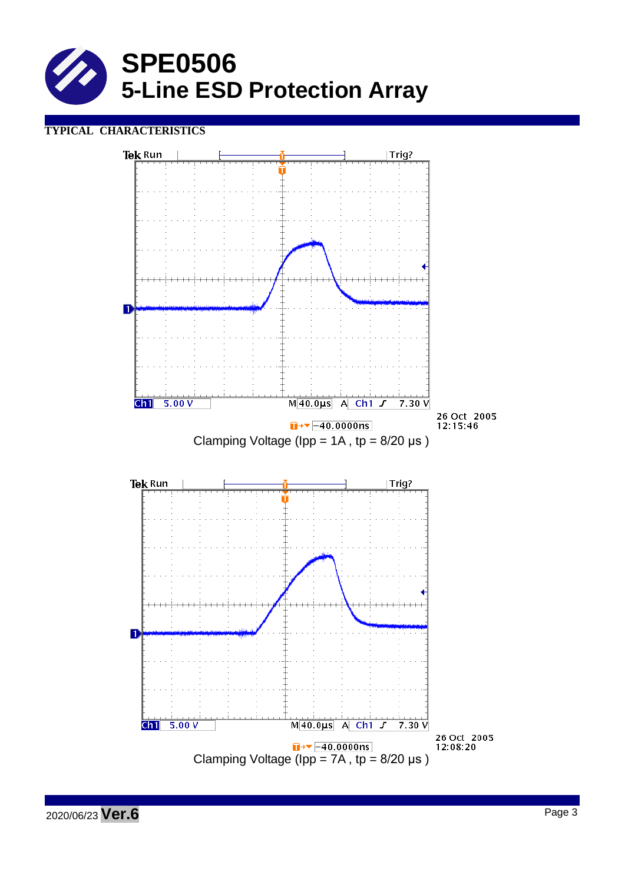

# **TYPICAL CHARACTERISTICS**



2020/06/23 **Ver.6** Page <sup>3</sup>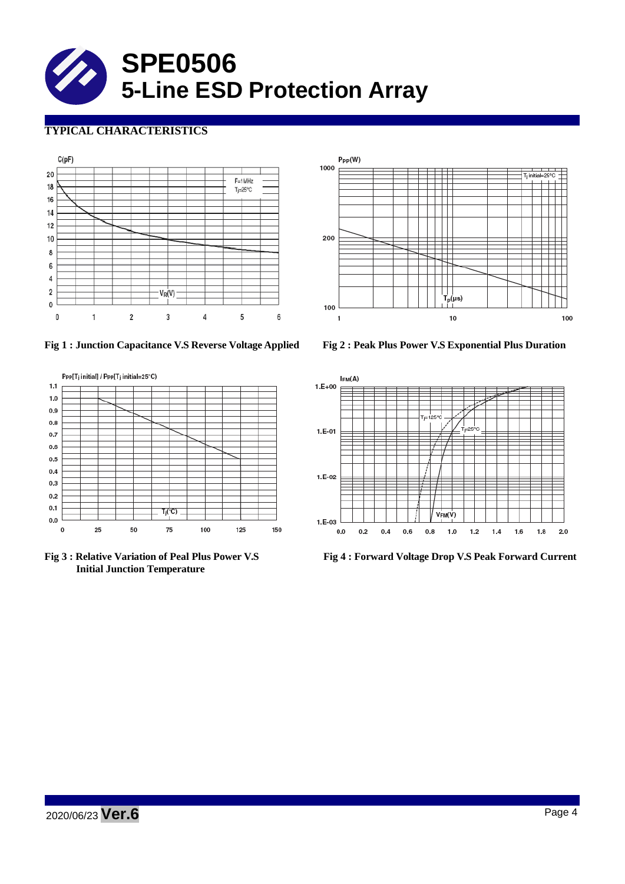

# **TYPICAL CHARACTERISTICS**





**Fig 1 : Junction Capacitance V.S Reverse Voltage Applied Fig 2 : Peak Plus Power V.S Exponential Plus Duration**



**Initial Junction Temperature**



**Fig 3 : Relative Variation of Peal Plus Power V.S Fig 4 : Forward Voltage Drop V.S Peak Forward Current**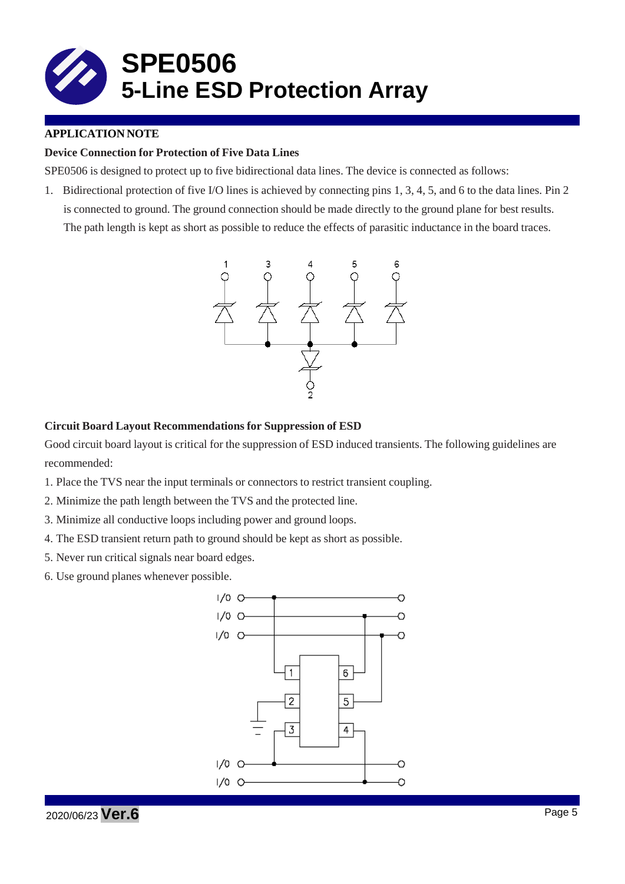

## **APPLICATION NOTE**

#### **Device Connection for Protection of Five Data Lines**

SPE0506 is designed to protect up to five bidirectional data lines. The device is connected as follows:

1. Bidirectional protection of five I/O lines is achieved by connecting pins 1, 3, 4, 5, and 6 to the data lines. Pin 2 is connected to ground. The ground connection should be made directly to the ground plane for best results. The path length is kept as short as possible to reduce the effects of parasitic inductance in the board traces.



#### **Circuit Board Layout Recommendations for Suppression of ESD**

Good circuit board layout is critical for the suppression of ESD induced transients. The following guidelines are recommended:

- 1. Place the TVS near the input terminals or connectors to restrict transient coupling.
- 2. Minimize the path length between the TVS and the protected line.
- 3. Minimize all conductive loops including power and ground loops.
- 4. The ESD transient return path to ground should be kept as short as possible.
- 5. Never run critical signals near board edges.
- 6. Use ground planes whenever possible.